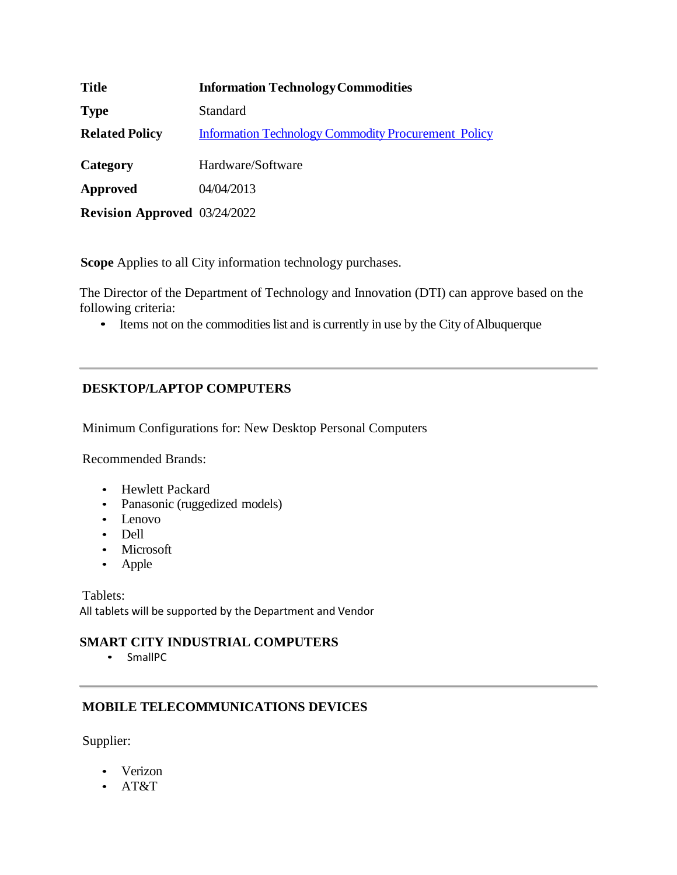| <b>Title</b>                        | <b>Information Technology Commodities</b>                  |
|-------------------------------------|------------------------------------------------------------|
| <b>Type</b>                         | <b>Standard</b>                                            |
| <b>Related Policy</b>               | <b>Information Technology Commodity Procurement Policy</b> |
| Category                            | Hardware/Software                                          |
| Approved                            | 04/04/2013                                                 |
| <b>Revision Approved</b> 03/24/2022 |                                                            |

**Scope** Applies to all City information technology purchases.

The Director of the Department of Technology and Innovation (DTI) can approve based on the following criteria:

• Items not on the commodities list and is currently in use by the City of Albuquerque

# **DESKTOP/LAPTOP COMPUTERS**

Minimum Configurations for: New Desktop Personal Computers

Recommended Brands:

- Hewlett Packard
- Panasonic (ruggedized models)
- Lenovo
- Dell
- Microsoft
- Apple

Tablets: All tablets will be supported by the Department and Vendor

## **SMART CITY INDUSTRIAL COMPUTERS**

• SmallPC

## **MOBILE TELECOMMUNICATIONS DEVICES**

Supplier:

- Verizon
- AT&T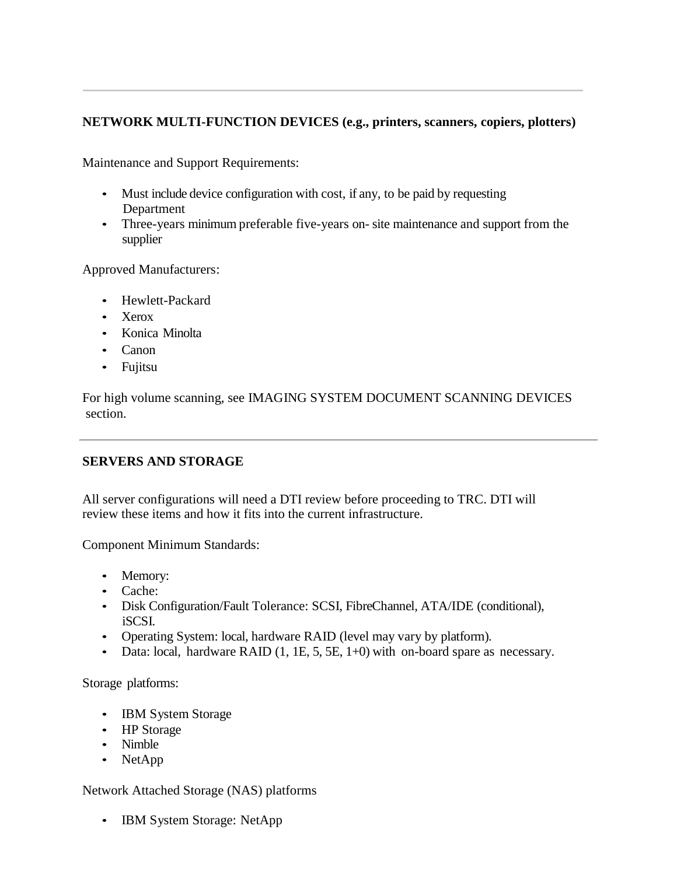# **NETWORK MULTI-FUNCTION DEVICES (e.g., printers, scanners, copiers, plotters)**

Maintenance and Support Requirements:

- Must include device configuration with cost, if any, to be paid by requesting Department
- Three-years minimum preferable five-years on- site maintenance and support from the supplier

Approved Manufacturers:

- Hewlett-Packard
- Xerox
- Konica Minolta
- Canon
- Fujitsu

For high volume scanning, see IMAGING SYSTEM DOCUMENT SCANNING DEVICES section.

## **SERVERS AND STORAGE**

All server configurations will need a DTI review before proceeding to TRC. DTI will review these items and how it fits into the current infrastructure.

Component Minimum Standards:

- Memory:
- Cache:
- Disk Configuration/Fault Tolerance: SCSI, FibreChannel, ATA/IDE (conditional), iSCSI.
- Operating System: local, hardware RAID (level may vary by platform).
- Data: local, hardware RAID (1, 1E, 5, 5E, 1+0) with on-board spare as necessary.

Storage platforms:

- IBM System Storage
- HP Storage
- Nimble
- NetApp

Network Attached Storage (NAS) platforms

• IBM System Storage: NetApp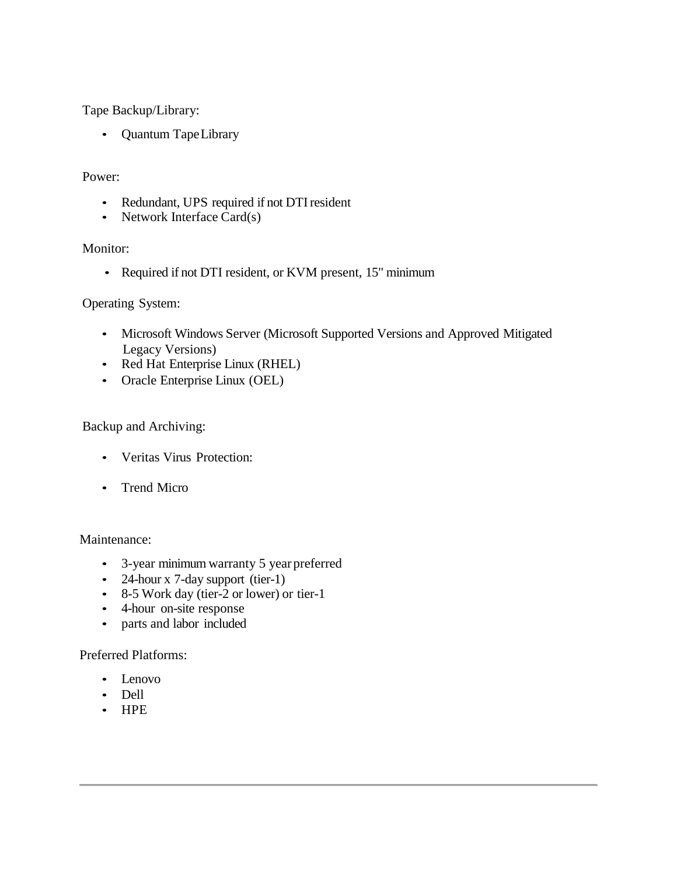Tape Backup/Library:

• Quantum TapeLibrary

#### Power:

- Redundant, UPS required if not DTI resident
- Network Interface Card(s)

#### Monitor:

• Required if not DTI resident, or KVM present, 15" minimum

## Operating System:

- Microsoft Windows Server (Microsoft Supported Versions and Approved Mitigated Legacy Versions)
- Red Hat Enterprise Linux (RHEL)
- Oracle Enterprise Linux (OEL)

## Backup and Archiving:

- Veritas Virus Protection:
- Trend Micro

#### Maintenance:

- 3-year minimum warranty 5 year preferred
- 24-hour x 7-day support (tier-1)
- 8-5 Work day (tier-2 or lower) or tier-1
- 4-hour on-site response
- parts and labor included

#### Preferred Platforms:

- Lenovo
- Dell
- HPE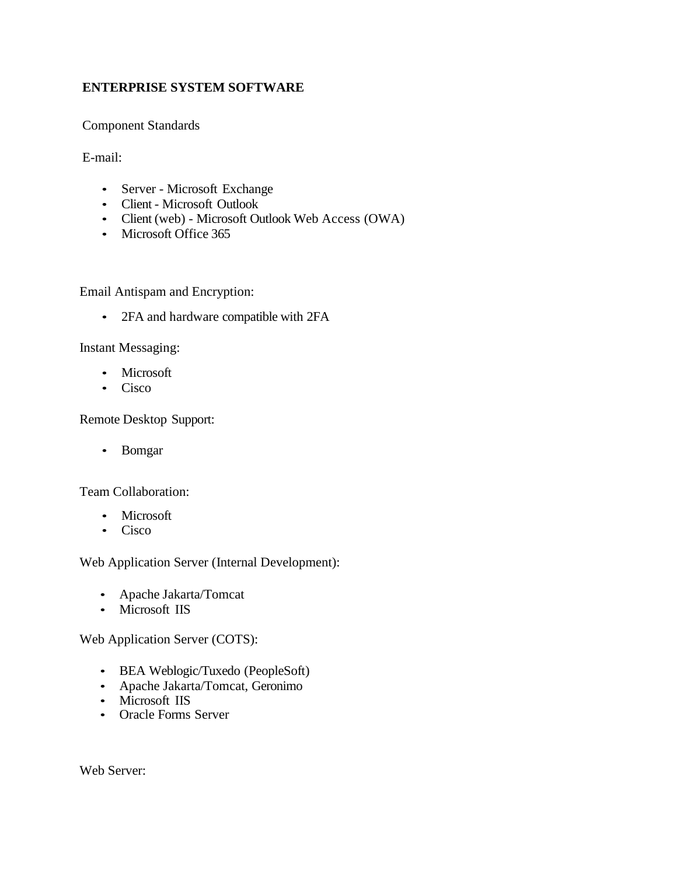# **ENTERPRISE SYSTEM SOFTWARE**

Component Standards

E-mail:

- Server Microsoft Exchange
- Client Microsoft Outlook
- Client (web) Microsoft Outlook Web Access (OWA)
- Microsoft Office 365

Email Antispam and Encryption:

• 2FA and hardware compatible with 2FA

Instant Messaging:

- Microsoft
- Cisco

Remote Desktop Support:

• Bomgar

Team Collaboration:

- Microsoft
- Cisco

Web Application Server (Internal Development):

- Apache Jakarta/Tomcat
- Microsoft IIS

Web Application Server (COTS):

- BEA Weblogic/Tuxedo (PeopleSoft)
- Apache Jakarta/Tomcat, Geronimo
- Microsoft IIS
- Oracle Forms Server

Web Server: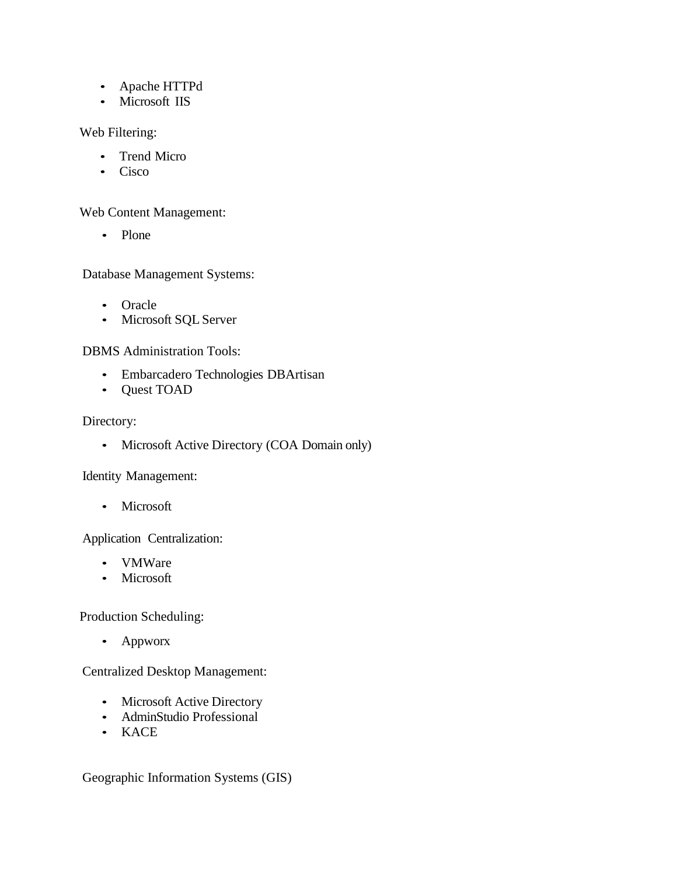- Apache HTTPd
- Microsoft IIS

Web Filtering:

- Trend Micro
- Cisco

Web Content Management:

• Plone

Database Management Systems:

- Oracle
- Microsoft SQL Server

DBMS Administration Tools:

- Embarcadero Technologies DBArtisan
- Quest TOAD

Directory:

• Microsoft Active Directory (COA Domain only)

Identity Management:

• Microsoft

Application Centralization:

- VMWare
- Microsoft

Production Scheduling:

• Appworx

Centralized Desktop Management:

- Microsoft Active Directory
- AdminStudio Professional
- KACE

Geographic Information Systems (GIS)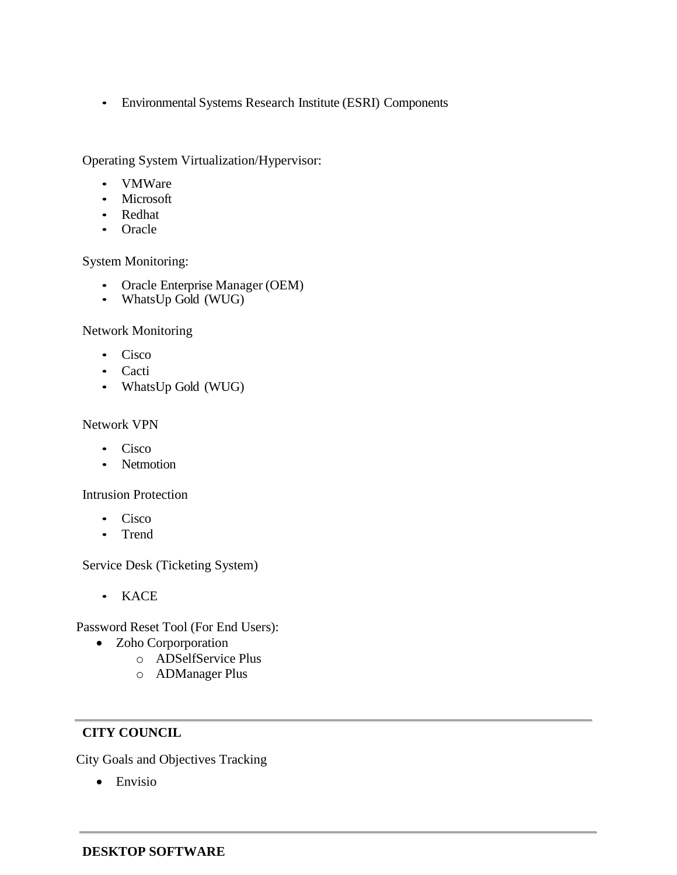• Environmental Systems Research Institute (ESRI) Components

Operating System Virtualization/Hypervisor:

- VMWare
- **Microsoft**
- Redhat
- Oracle

System Monitoring:

- Oracle Enterprise Manager (OEM)
- WhatsUp Gold (WUG)

Network Monitoring

- Cisco
- Cacti
- WhatsUp Gold (WUG)

## Network VPN

- Cisco
- Netmotion

Intrusion Protection

- Cisco
- Trend

Service Desk (Ticketing System)

• KACE

Password Reset Tool (For End Users):

- Zoho Corporporation
	- o ADSelfService Plus
	- o ADManager Plus

# **CITY COUNCIL**

City Goals and Objectives Tracking

• Envisio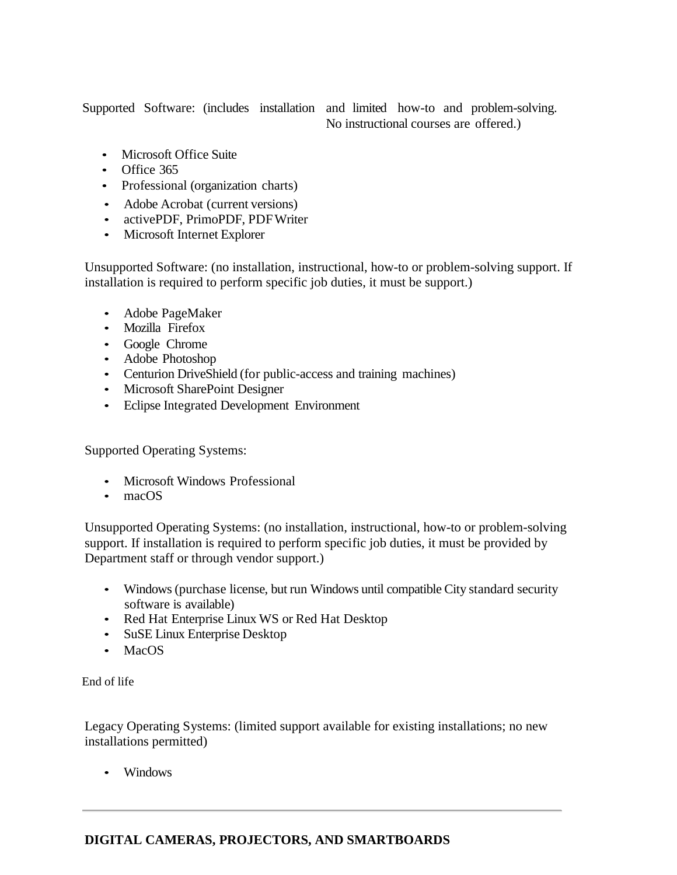Supported Software: (includes installation and limited how-to and problem-solving.

No instructional courses are offered.)

- Microsoft Office Suite
- Office 365
- Professional (organization charts)
- Adobe Acrobat (current versions)
- activePDF, PrimoPDF, PDFWriter
- Microsoft Internet Explorer

Unsupported Software: (no installation, instructional, how-to or problem-solving support. If installation is required to perform specific job duties, it must be support.)

- Adobe PageMaker
- Mozilla Firefox
- Google Chrome
- Adobe Photoshop
- Centurion DriveShield (for public-access and training machines)
- Microsoft SharePoint Designer
- Eclipse Integrated Development Environment

Supported Operating Systems:

- Microsoft Windows Professional
- macOS

Unsupported Operating Systems: (no installation, instructional, how-to or problem-solving support. If installation is required to perform specific job duties, it must be provided by Department staff or through vendor support.)

- Windows(purchase license, but run Windows until compatible City standard security software is available)
- Red Hat Enterprise Linux WS or Red Hat Desktop
- SuSE Linux Enterprise Desktop
- MacOS

End of life

Legacy Operating Systems: (limited support available for existing installations; no new installations permitted)

• Windows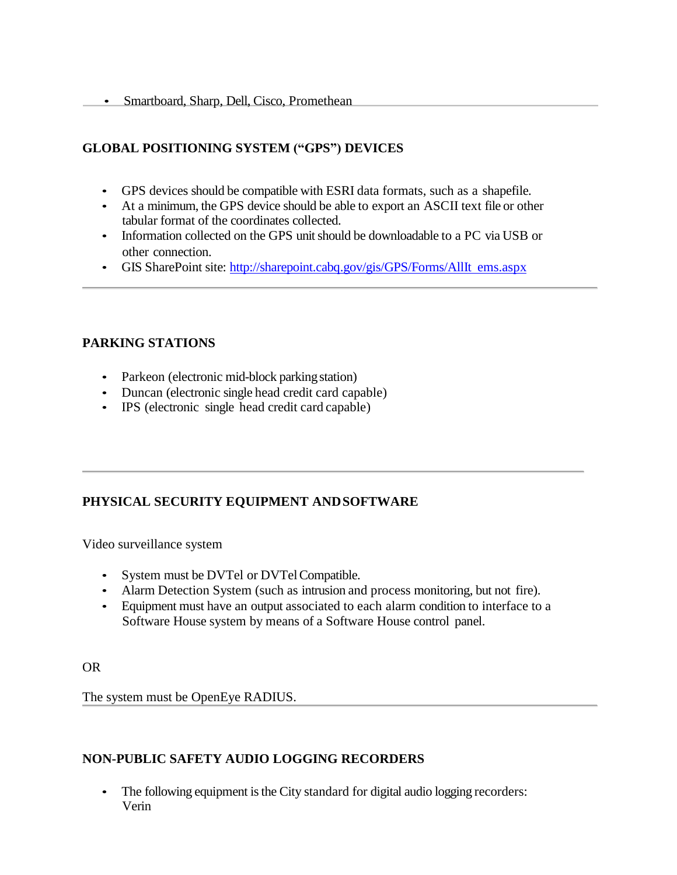# **GLOBAL POSITIONING SYSTEM ("GPS") DEVICES**

- GPS devices should be compatible with ESRI data formats, such as a shapefile.
- At a minimum, the GPS device should be able to export an ASCII text file or other tabular format of the coordinates collected.
- Information collected on the GPS unit should be downloadable to a PC via USB or other connection.
- GIS SharePoint site: [http://sharepoint.cabq.gov/gis/GPS/Forms/AllIt](http://sharepoint.cabq.gov/gis/GPS/Forms/AllItems.aspx) ems.aspx

# **PARKING STATIONS**

- Parkeon (electronic mid-block parking station)
- Duncan (electronic single head credit card capable)
- IPS (electronic single head credit card capable)

# **PHYSICAL SECURITY EQUIPMENT ANDSOFTWARE**

Video surveillance system

- System must be DVTel or DVTel Compatible.
- Alarm Detection System (such as intrusion and process monitoring, but not fire).
- Equipment must have an output associated to each alarm condition to interface to a Software House system by means of a Software House control panel.

OR

The system must be OpenEye RADIUS.

## **NON-PUBLIC SAFETY AUDIO LOGGING RECORDERS**

• The following equipment is the City standard for digital audio logging recorders: Verin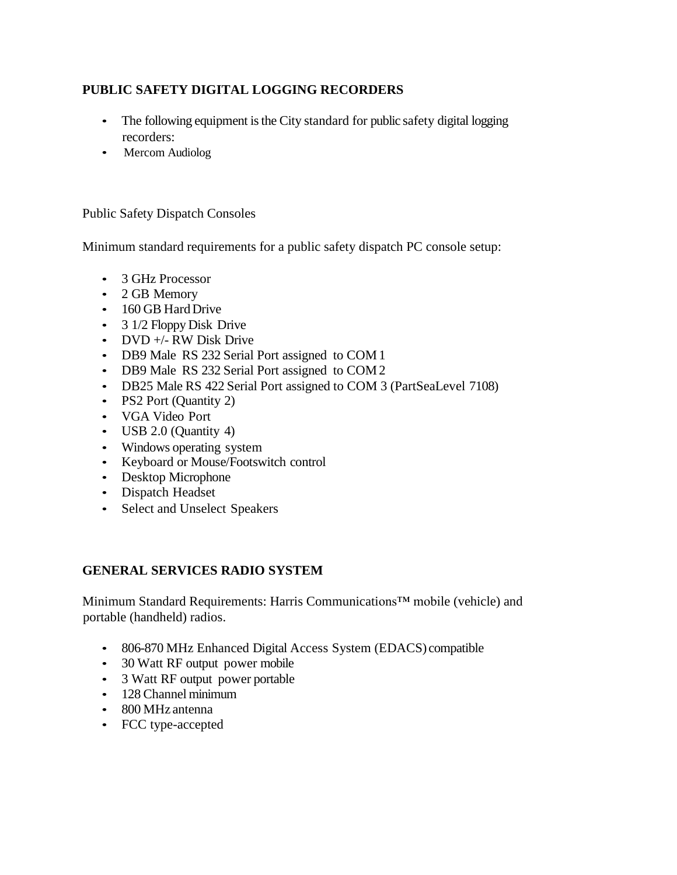# **PUBLIC SAFETY DIGITAL LOGGING RECORDERS**

- The following equipment is the City standard for public safety digital logging recorders:
- Mercom Audiolog

Public Safety Dispatch Consoles

Minimum standard requirements for a public safety dispatch PC console setup:

- 3 GHz Processor
- 2 GB Memory
- 160 GB Hard Drive
- 3 1/2 Floppy Disk Drive
- DVD +/- RW Disk Drive
- DB9 Male RS 232 Serial Port assigned to COM 1
- DB9 Male RS 232 Serial Port assigned to COM 2
- DB25 Male RS 422 Serial Port assigned to COM 3 (PartSeaLevel 7108)
- PS2 Port (Quantity 2)
- VGA Video Port
- USB 2.0 (Quantity 4)
- Windows operating system
- Keyboard or Mouse/Footswitch control
- Desktop Microphone
- Dispatch Headset
- Select and Unselect Speakers

## **GENERAL SERVICES RADIO SYSTEM**

Minimum Standard Requirements: Harris Communications™ mobile (vehicle) and portable (handheld) radios.

- 806-870 MHz Enhanced Digital Access System (EDACS) compatible
- 30 Watt RF output power mobile
- 3 Watt RF output power portable
- 128 Channel minimum
- 800 MHz antenna
- FCC type-accepted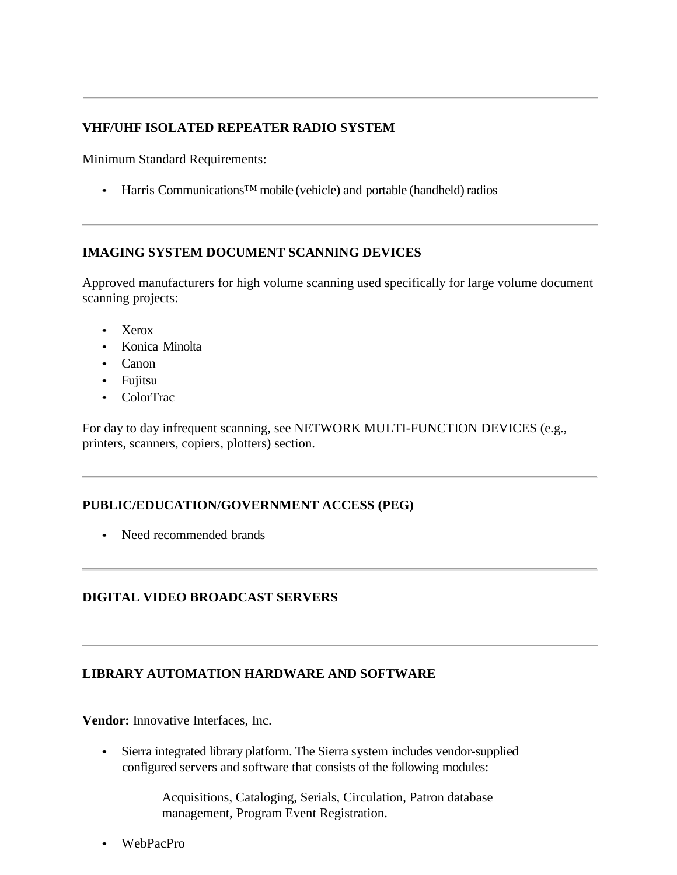# **VHF/UHF ISOLATED REPEATER RADIO SYSTEM**

Minimum Standard Requirements:

• Harris Communications™ mobile (vehicle) and portable (handheld) radios

## **IMAGING SYSTEM DOCUMENT SCANNING DEVICES**

Approved manufacturers for high volume scanning used specifically for large volume document scanning projects:

- Xerox
- Konica Minolta
- Canon
- Fujitsu
- ColorTrac

For day to day infrequent scanning, see NETWORK MULTI-FUNCTION DEVICES (e.g., printers, scanners, copiers, plotters) section.

## **PUBLIC/EDUCATION/GOVERNMENT ACCESS (PEG)**

• Need recommended brands

## **DIGITAL VIDEO BROADCAST SERVERS**

## **LIBRARY AUTOMATION HARDWARE AND SOFTWARE**

**Vendor:** Innovative Interfaces, Inc.

• Sierra integrated library platform. The Sierra system includes vendor-supplied configured servers and software that consists of the following modules:

> Acquisitions, Cataloging, Serials, Circulation, Patron database management, Program Event Registration.

• WebPacPro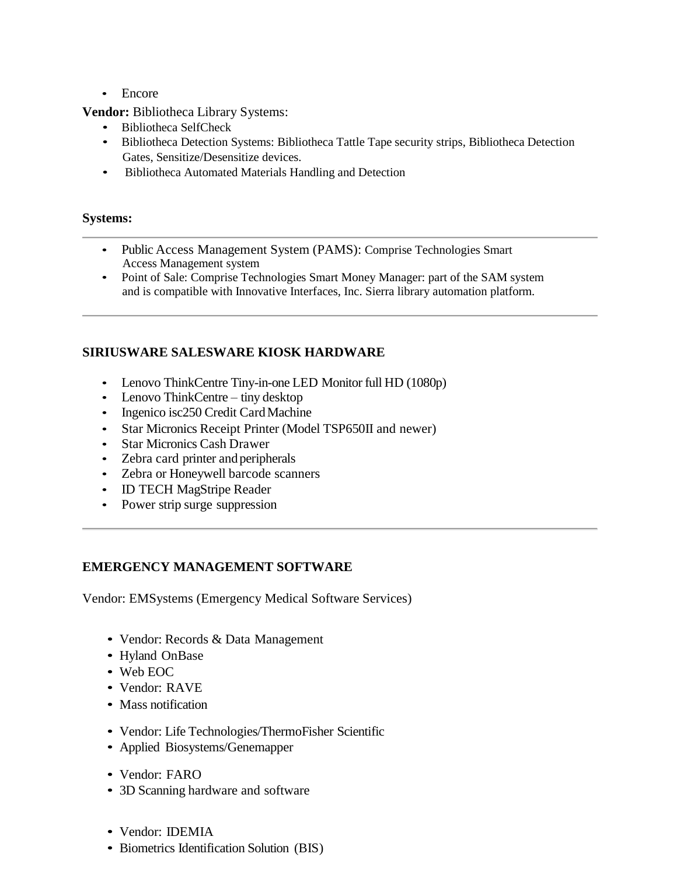• Encore

**Vendor:** Bibliotheca Library Systems:

- Bibliotheca SelfCheck
- Bibliotheca Detection Systems: Bibliotheca Tattle Tape security strips, Bibliotheca Detection Gates, Sensitize/Desensitize devices.
- Bibliotheca Automated Materials Handling and Detection

## **Systems:**

- Public Access Management System (PAMS): Comprise Technologies Smart Access Management system
- Point of Sale: Comprise Technologies Smart Money Manager: part of the SAM system and is compatible with Innovative Interfaces, Inc. Sierra library automation platform.

# **SIRIUSWARE SALESWARE KIOSK HARDWARE**

- Lenovo ThinkCentre Tiny-in-one LED Monitor full HD (1080p)
- Lenovo ThinkCentre tiny desktop
- Ingenico isc250 Credit Card Machine
- Star Micronics Receipt Printer (Model TSP650II and newer)
- Star Micronics Cash Drawer
- Zebra card printer and peripherals
- Zebra or Honeywell barcode scanners
- ID TECH MagStripe Reader
- Power strip surge suppression

## **EMERGENCY MANAGEMENT SOFTWARE**

Vendor: EMSystems (Emergency Medical Software Services)

- Vendor: Records & Data Management
- Hyland OnBase
- Web EOC
- Vendor: RAVE
- Mass notification
- Vendor: Life Technologies/ThermoFisher Scientific
- Applied Biosystems/Genemapper
- Vendor: FARO
- 3D Scanning hardware and software
- Vendor: IDEMIA
- Biometrics Identification Solution (BIS)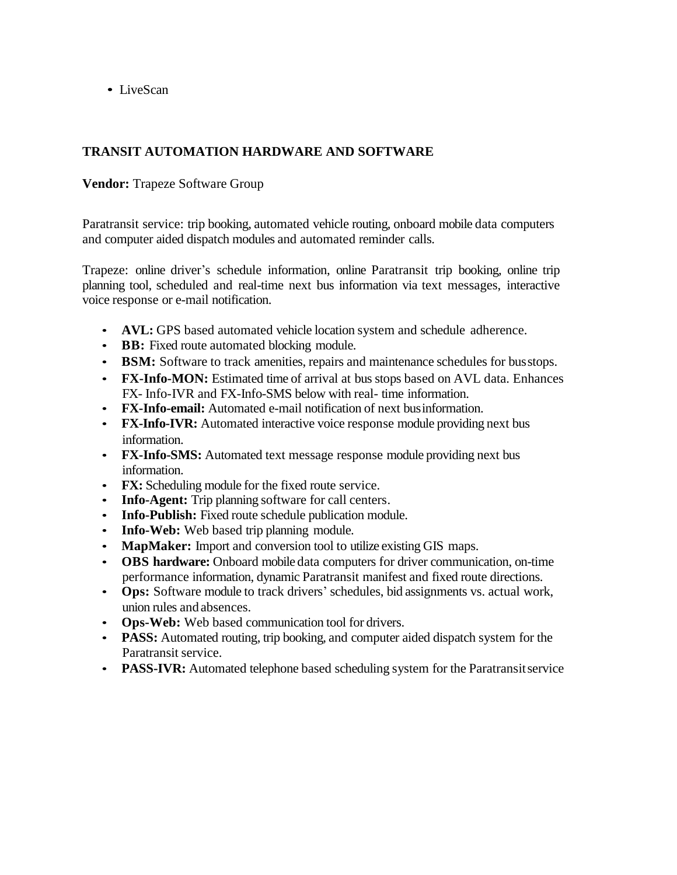• LiveScan

# **TRANSIT AUTOMATION HARDWARE AND SOFTWARE**

**Vendor:** Trapeze Software Group

Paratransit service: trip booking, automated vehicle routing, onboard mobile data computers and computer aided dispatch modules and automated reminder calls.

Trapeze: online driver's schedule information, online Paratransit trip booking, online trip planning tool, scheduled and real-time next bus information via text messages, interactive voice response or e-mail notification.

- **AVL:** GPS based automated vehicle location system and schedule adherence.
- **BB:** Fixed route automated blocking module.
- **BSM:** Software to track amenities, repairs and maintenance schedules for busstops.
- **FX-Info-MON:** Estimated time of arrival at bus stops based on AVL data. Enhances FX- Info-IVR and FX-Info-SMS below with real- time information.
- **FX-Info-email:** Automated e-mail notification of next businformation.
- **FX-Info-IVR:** Automated interactive voice response module providing next bus information.
- **FX-Info-SMS:** Automated text message response module providing next bus information.
- **FX:** Scheduling module for the fixed route service.
- **Info-Agent:** Trip planning software for call centers.
- **Info-Publish:** Fixed route schedule publication module.
- **Info-Web:** Web based trip planning module.
- **MapMaker:** Import and conversion tool to utilize existing GIS maps.
- **OBS hardware:** Onboard mobile data computers for driver communication, on-time performance information, dynamic Paratransit manifest and fixed route directions.
- **Ops:** Software module to track drivers' schedules, bid assignments vs. actual work, union rules and absences.
- **Ops-Web:** Web based communication tool for drivers.
- **PASS:** Automated routing, trip booking, and computer aided dispatch system for the Paratransit service.
- **PASS-IVR:** Automated telephone based scheduling system for the Paratransit service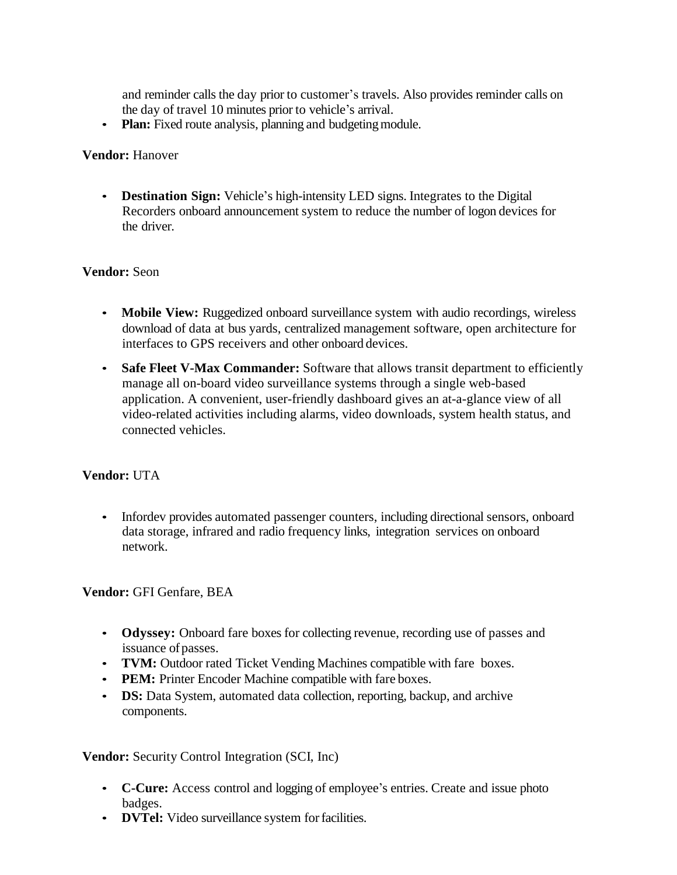and reminder calls the day prior to customer's travels. Also provides reminder calls on the day of travel 10 minutes prior to vehicle's arrival.

• **Plan:** Fixed route analysis, planning and budgeting module.

#### **Vendor:** Hanover

• **Destination Sign:** Vehicle's high-intensity LED signs. Integrates to the Digital Recorders onboard announcement system to reduce the number of logon devices for the driver.

## **Vendor:** Seon

- **Mobile View:** Ruggedized onboard surveillance system with audio recordings, wireless download of data at bus yards, centralized management software, open architecture for interfaces to GPS receivers and other onboard devices.
- **Safe Fleet V-Max Commander:** Software that allows transit department to efficiently manage all on-board video surveillance systems through a single web-based application. A convenient, user-friendly dashboard gives an at-a-glance view of all video-related activities including alarms, video downloads, system health status, and connected vehicles.

## **Vendor:** UTA

• Infordev provides automated passenger counters, including directional sensors, onboard data storage, infrared and radio frequency links, integration services on onboard network.

#### **Vendor:** GFI Genfare, BEA

- **Odyssey:** Onboard fare boxes for collecting revenue, recording use of passes and issuance of passes.
- **TVM:** Outdoor rated Ticket Vending Machines compatible with fare boxes.
- **PEM:** Printer Encoder Machine compatible with fare boxes.
- **DS:** Data System, automated data collection, reporting, backup, and archive components.

**Vendor:** Security Control Integration (SCI, Inc)

- **C-Cure:** Access control and logging of employee's entries. Create and issue photo badges.
- **DVTel:** Video surveillance system for facilities.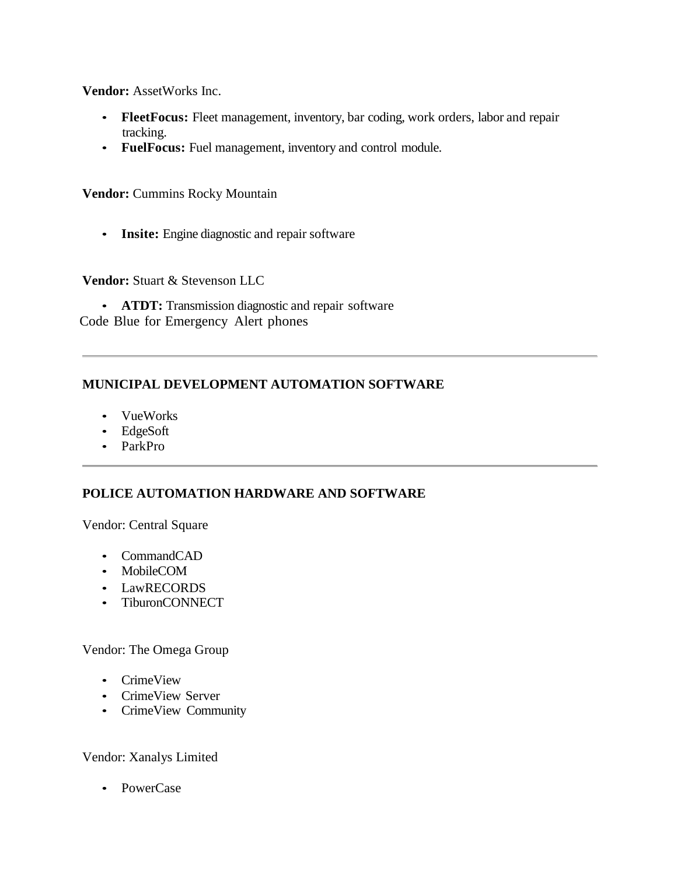**Vendor:** AssetWorks Inc.

- **FleetFocus:** Fleet management, inventory, bar coding, work orders, labor and repair tracking.
- **FuelFocus:** Fuel management, inventory and control module.

**Vendor:** Cummins Rocky Mountain

• **Insite:** Engine diagnostic and repair software

**Vendor:** Stuart & Stevenson LLC

• **ATDT:** Transmission diagnostic and repair software Code Blue for Emergency Alert phones

## **MUNICIPAL DEVELOPMENT AUTOMATION SOFTWARE**

- VueWorks
- EdgeSoft
- ParkPro

## **POLICE AUTOMATION HARDWARE AND SOFTWARE**

Vendor: Central Square

- CommandCAD
- MobileCOM
- LawRECORDS
- TiburonCONNECT

Vendor: The Omega Group

- CrimeView
- CrimeView Server
- CrimeView Community

#### Vendor: Xanalys Limited

• PowerCase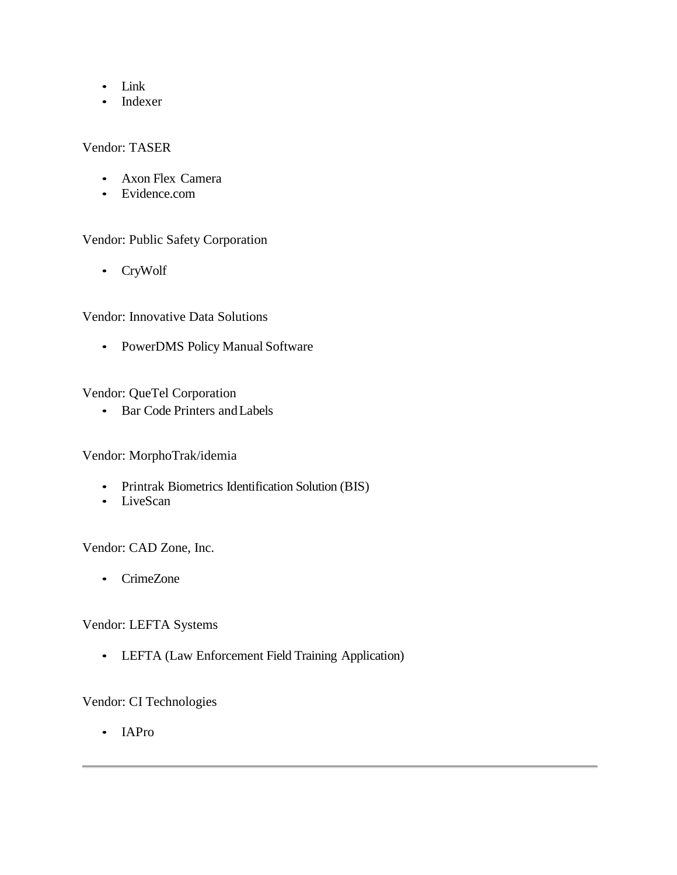- Link
- Indexer

## Vendor: TASER

- Axon Flex Camera
- Evidence.com

## Vendor: Public Safety Corporation

• CryWolf

## Vendor: Innovative Data Solutions

• PowerDMS Policy Manual Software

## Vendor: QueTel Corporation

• Bar Code Printers and Labels

## Vendor: MorphoTrak/idemia

- Printrak Biometrics Identification Solution (BIS)
- LiveScan

Vendor: CAD Zone, Inc.

• CrimeZone

#### Vendor: LEFTA Systems

• LEFTA (Law Enforcement Field Training Application)

# Vendor: CI Technologies

• IAPro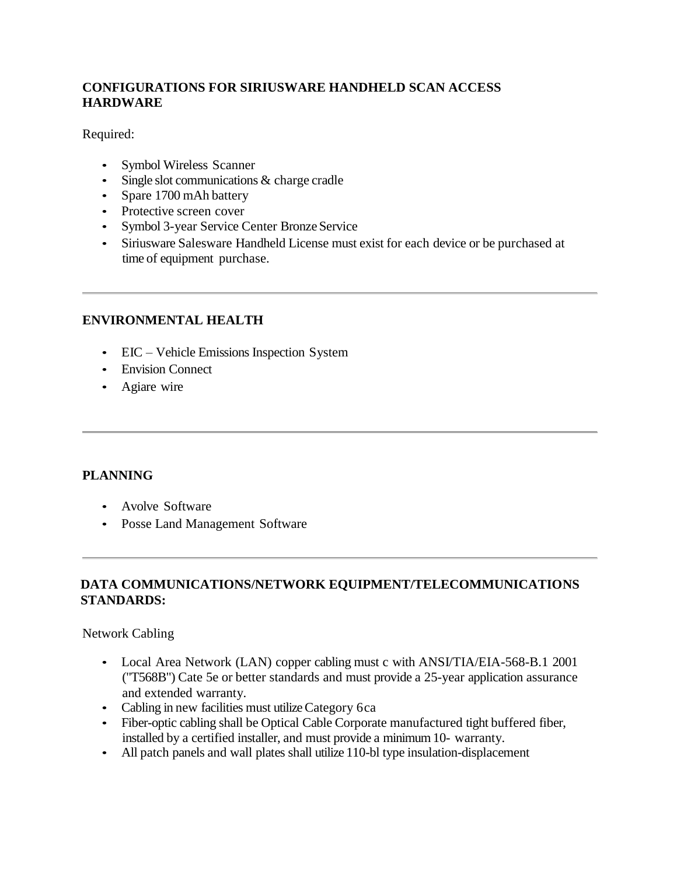# **CONFIGURATIONS FOR SIRIUSWARE HANDHELD SCAN ACCESS HARDWARE**

Required:

- Symbol Wireless Scanner
- Single slot communications & charge cradle
- Spare 1700 mAh battery
- Protective screen cover
- Symbol 3-year Service Center Bronze Service
- Siriusware Salesware Handheld License must exist for each device or be purchased at time of equipment purchase.

## **ENVIRONMENTAL HEALTH**

- EIC Vehicle Emissions Inspection System
- Envision Connect
- Agiare wire

## **PLANNING**

- Avolve Software
- Posse Land Management Software

## **DATA COMMUNICATIONS/NETWORK EQUIPMENT/TELECOMMUNICATIONS STANDARDS:**

Network Cabling

- Local Area Network (LAN) copper cabling must c with ANSI/TIA/EIA-568-B.1 2001 ("T568B") Cate 5e or better standards and must provide a 25-year application assurance and extended warranty.
- Cabling in new facilities must utilize Category 6ca
- Fiber-optic cabling shall be Optical Cable Corporate manufactured tight buffered fiber, installed by a certified installer, and must provide a minimum10- warranty.
- All patch panels and wall plates shall utilize 110-bl type insulation-displacement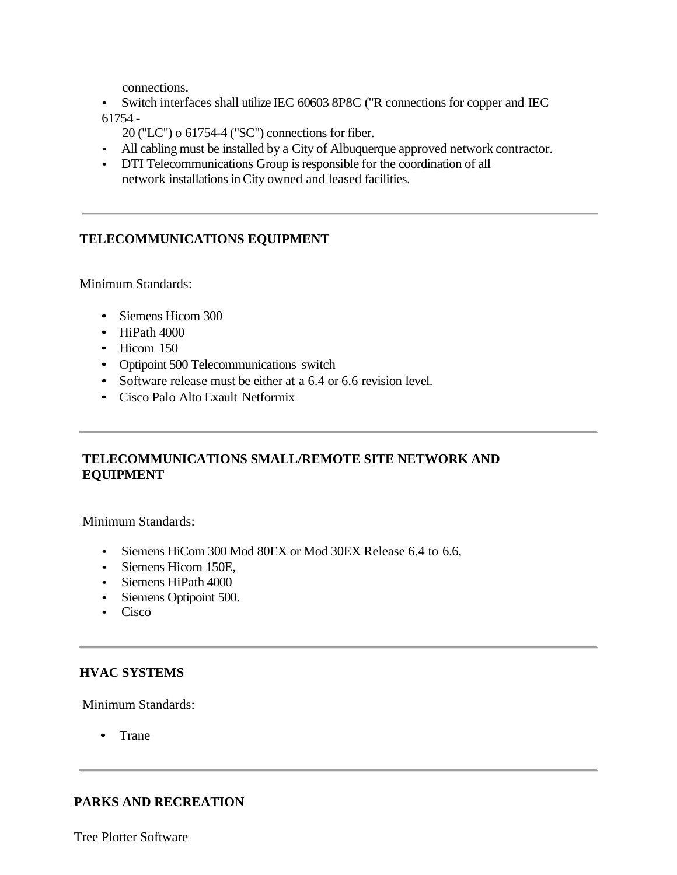connections.

- Switch interfaces shall utilize IEC 60603 8P8C ("R connections for copper and IEC 61754 -
	- 20 ("LC") o 61754-4 ("SC") connections for fiber.
- All cabling must be installed by a City of Albuquerque approved network contractor.
- DTI Telecommunications Group is responsible for the coordination of all network installations in City owned and leased facilities.

## **TELECOMMUNICATIONS EQUIPMENT**

Minimum Standards:

- Siemens Hicom 300
- HiPath 4000
- Hicom 150
- Optipoint 500 Telecommunications switch
- Software release must be either at a 6.4 or 6.6 revision level.
- Cisco Palo Alto Exault Netformix

## **TELECOMMUNICATIONS SMALL/REMOTE SITE NETWORK AND EQUIPMENT**

Minimum Standards:

- Siemens HiCom 300 Mod 80EX or Mod 30EX Release 6.4 to 6.6,
- Siemens Hicom 150E,
- Siemens HiPath 4000
- Siemens Optipoint 500.
- Cisco

#### **HVAC SYSTEMS**

Minimum Standards:

• Trane

## **PARKS AND RECREATION**